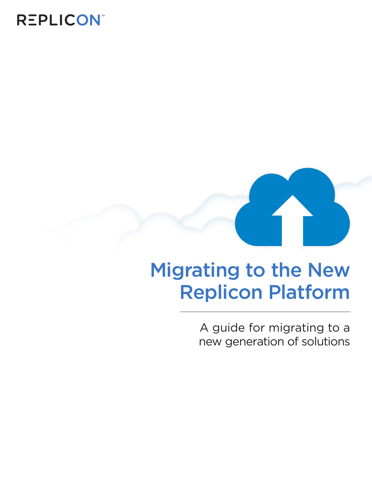## **REPLICON®**



# Migrating to the New Replicon Platform

A guide for migrating to a new generation of solutions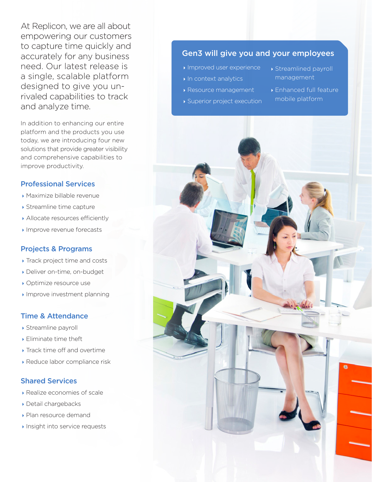At Replicon, we are all about empowering our customers to capture time quickly and accurately for any business need. Our latest release is a single, scalable platform designed to give you unrivaled capabilities to track and analyze time.

In addition to enhancing our entire platform and the products you use today, we are introducing four new solutions that provide greater visibility and comprehensive capabilities to improve productivity.

## Professional Services

- Maximize billable revenue
- ▶ Streamline time capture
- Allocate resources efficiently
- **Improve revenue forecasts**

### Projects & Programs

- ▶ Track project time and costs
- Deliver on-time, on-budget
- ▶ Optimize resource use
- Improve investment planning

## Time & Attendance

- Streamline payroll
- Eliminate time theft
- **Track time off and overtime**
- Reduce labor compliance risk

## Shared Services

- Realize economies of scale
- Detail chargebacks
- Plan resource demand
- **Insight into service requests**

## Gen3 will give you and your employees

- Improved user experience
- In context analytics
- Resource management
- Superior project execution
- Streamlined payroll management
- Enhanced full feature mobile platform

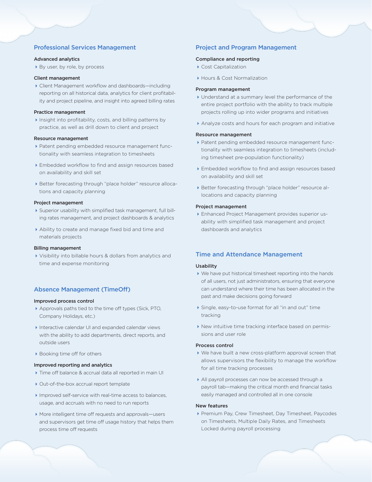#### Professional Services Management

#### Advanced analytics

▶ By user, by role, by process

#### Client management

Client Management workflow and dashboards—including reporting on all historical data, analytics for client profitability and project pipeline, and insight into agreed billing rates

#### Practice management

Insight into profitability, costs, and billing patterns by practice, as well as drill down to client and project

#### Resource management

- Patent pending embedded resource management functionality with seamless integration to timesheets
- Embedded workflow to find and assign resources based on availability and skill set
- Better forecasting through "place holder" resource allocations and capacity planning

#### Project management

- Superior usability with simplified task management, full billing rates management, and project dashboards & analytics
- Ability to create and manage fixed bid and time and materials projects

#### Billing management

Visibility into billable hours & dollars from analytics and time and expense monitoring

#### Absence Management (TimeOff)

#### Improved process control

- Approvals paths tied to the time off types (Sick, PTO, Company Holidays, etc.)
- Interactive calendar UI and expanded calendar views with the ability to add departments, direct reports, and outside users
- ▶ Booking time off for others

#### Improved reporting and analytics

- ▶ Time off balance & accrual data all reported in main UI
- ▶ Out-of-the-box accrual report template
- Improved self-service with real-time access to balances, usage, and accruals with no need to run reports
- More intelligent time off requests and approvals—users and supervisors get time off usage history that helps them process time off requests

#### Project and Program Management

#### Compliance and reporting

- ▶ Cost Capitalization
- **Hours & Cost Normalization**

#### Program management

- Understand at a summary level the performance of the entire project portfolio with the ability to track multiple projects rolling up into wider programs and initiatives
- Analyze costs and hours for each program and initiative

#### Resource management

- Patent pending embedded resource management functionality with seamless integration to timesheets (including timesheet pre-population functionality)
- Embedded workflow to find and assign resources based on availability and skill set
- Better forecasting through "place holder" resource allocations and capacity planning

#### Project management

Enhanced Project Management provides superior usability with simplified task management and project dashboards and analytics

#### Time and Attendance Management

#### **Usability**

- We have put historical timesheet reporting into the hands of all users, not just administrators, ensuring that everyone can understand where their time has been allocated in the past and make decisions going forward
- Single, easy-to-use format for all "in and out" time tracking
- New intuitive time tracking interface based on permissions and user role

#### Process control

- We have built a new cross-platform approval screen that allows supervisors the flexibility to manage the workflow for all time tracking processes
- All payroll processes can now be accessed through a payroll tab—making the critical month end financial tasks easily managed and controlled all in one console

#### New features

Premium Pay, Crew Timesheet, Day Timesheet, Paycodes on Timesheets, Multiple Daily Rates, and Timesheets Locked during payroll processing